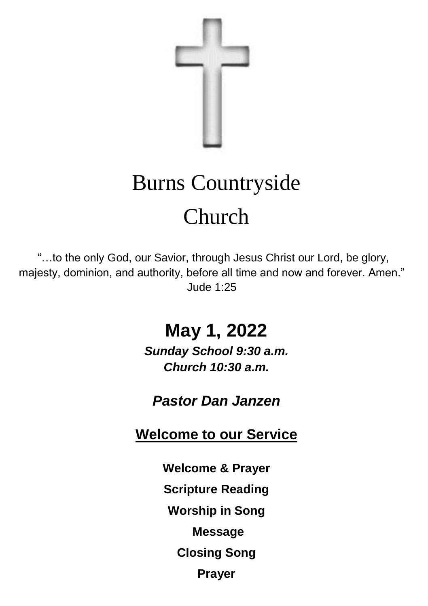

# Burns Countryside Church

"…to the only God, our Savior, through Jesus Christ our Lord, be glory, majesty, dominion, and authority, before all time and now and forever. Amen." Jude 1:25

# **May 1, 2022**

*Sunday School 9:30 a.m. Church 10:30 a.m.*

*Pastor Dan Janzen*

**Welcome to our Service**

**Welcome & Prayer**

**Scripture Reading**

**Worship in Song**

**Message**

**Closing Song**

**Prayer**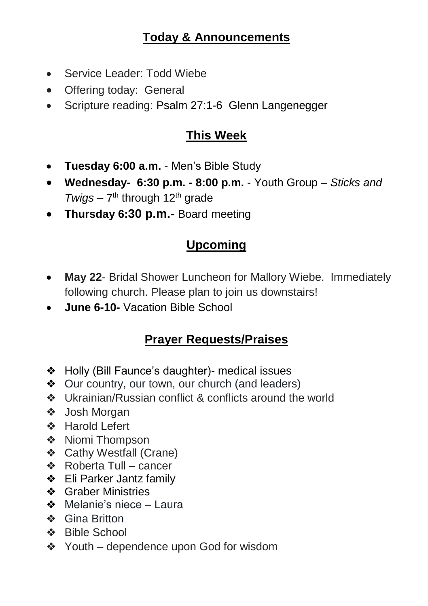#### **Today & Announcements**

- Service Leader: Todd Wiebe
- Offering today: General
- Scripture reading: Psalm 27:1-6 Glenn Langenegger

#### **This Week**

- **Tuesday 6:00 a.m.**  Men's Bible Study
- **Wednesday- 6:30 p.m. - 8:00 p.m.**  Youth Group *Sticks and*  Twigs - 7<sup>th</sup> through 12<sup>th</sup> grade
- **Thursday 6:30 p.m.-** Board meeting

### **Upcoming**

- **May 22** Bridal Shower Luncheon for Mallory Wiebe. Immediately following church. Please plan to join us downstairs!
- **June 6-10-** Vacation Bible School

#### **Prayer Requests/Praises**

- ❖ Holly (Bill Faunce's daughter)- medical issues
- ❖ Our country, our town, our church (and leaders)
- ❖ Ukrainian/Russian conflict & conflicts around the world
- ❖ Josh Morgan
- ❖ Harold Lefert
- ❖ Niomi Thompson
- ❖ Cathy Westfall (Crane)
- ❖ Roberta Tull cancer
- ❖ Eli Parker Jantz family
- ❖ Graber Ministries
- ❖ Melanie's niece Laura
- ❖ Gina Britton
- ❖ Bible School
- ❖ Youth dependence upon God for wisdom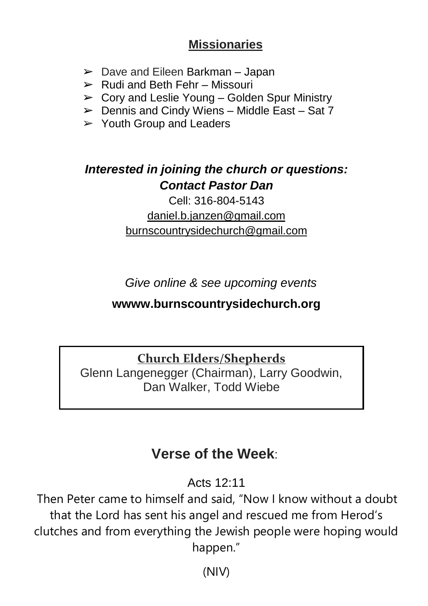#### **Missionaries**

- $\triangleright$  Dave and Eileen Barkman Japan
- $\triangleright$  Rudi and Beth Fehr Missouri
- $\triangleright$  Cory and Leslie Young Golden Spur Ministry
- $\triangleright$  Dennis and Cindy Wiens Middle East Sat 7
- $\triangleright$  Youth Group and Leaders

### *Interested in joining the church or questions: Contact Pastor Dan*

#### Cell: 316-804-5143 [daniel.b.janzen@gmail.com](mailto:daniel.b.janzen@gmail.com) burnscountrysidechurch@gmail.com

*Give online & see upcoming events*

#### **wwww.burnscountrysidechurch.org**

#### **Church Elders/Shepherds**

Glenn Langenegger (Chairman), Larry Goodwin, Dan Walker, Todd Wiebe

## **Verse of the Week**:

Acts 12:11

Then Peter came to himself and said, "Now I know without a doubt that the Lord has sent his angel and rescued me from Herod's clutches and from everything the Jewish people were hoping would happen."

(NIV)